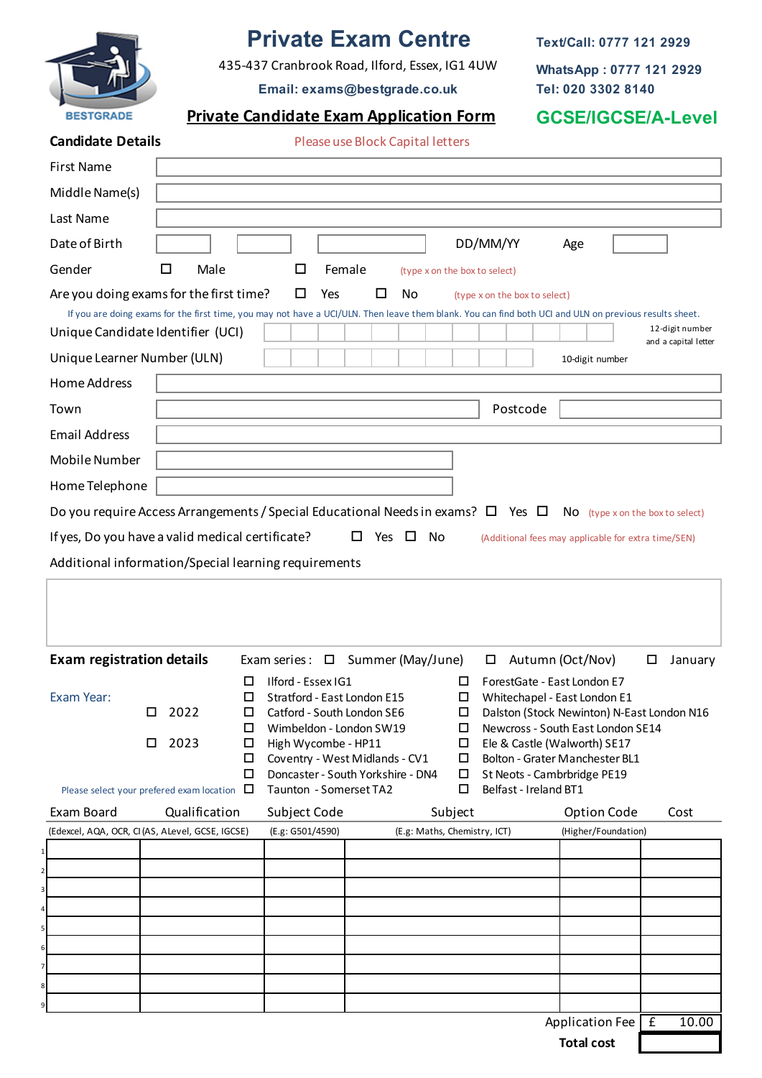

# **Private Exam Centre**

435-437 Cranbrook Road, Ilford, Essex, IG1 4UW

**Text/Call: 0777 121 2929**

**WhatsApp : 0777 121 2929 Tel: 020 3302 8140**

**Email: exams@bestgrade.co.uk**

# **Private Candidate Exam Application Form GCSE/IGCSE/A-Level**

|                          |                                  | <b>UUULIUU</b> |
|--------------------------|----------------------------------|----------------|
| <b>Candidate Details</b> | Please use Block Capital letters |                |

| <b>First Name</b>                                                                                                                                                                           |                                                                                                          |             |                                                             |                    |                               |                                                      |                                                                            |                                         |
|---------------------------------------------------------------------------------------------------------------------------------------------------------------------------------------------|----------------------------------------------------------------------------------------------------------|-------------|-------------------------------------------------------------|--------------------|-------------------------------|------------------------------------------------------|----------------------------------------------------------------------------|-----------------------------------------|
| Middle Name(s)                                                                                                                                                                              |                                                                                                          |             |                                                             |                    |                               |                                                      |                                                                            |                                         |
| Last Name                                                                                                                                                                                   |                                                                                                          |             |                                                             |                    |                               |                                                      |                                                                            |                                         |
| Date of Birth                                                                                                                                                                               |                                                                                                          |             |                                                             |                    |                               | DD/MM/YY                                             | Age                                                                        |                                         |
| Gender                                                                                                                                                                                      | Male<br>ΙI                                                                                               |             | □                                                           | Female             | (type x on the box to select) |                                                      |                                                                            |                                         |
| Are you doing exams for the first time?                                                                                                                                                     |                                                                                                          |             | □<br>Yes                                                    | No<br>ப            |                               | (type x on the box to select)                        |                                                                            |                                         |
| If you are doing exams for the first time, you may not have a UCI/ULN. Then leave them blank. You can find both UCI and ULN on previous results sheet.<br>Unique Candidate Identifier (UCI) |                                                                                                          |             |                                                             |                    |                               |                                                      |                                                                            | 12-digit number<br>and a capital letter |
| Unique Learner Number (ULN)                                                                                                                                                                 |                                                                                                          |             |                                                             |                    |                               |                                                      | 10-digit number                                                            |                                         |
| Home Address                                                                                                                                                                                |                                                                                                          |             |                                                             |                    |                               |                                                      |                                                                            |                                         |
| Town                                                                                                                                                                                        |                                                                                                          |             |                                                             |                    |                               | Postcode                                             |                                                                            |                                         |
| <b>Email Address</b>                                                                                                                                                                        |                                                                                                          |             |                                                             |                    |                               |                                                      |                                                                            |                                         |
| Mobile Number                                                                                                                                                                               |                                                                                                          |             |                                                             |                    |                               |                                                      |                                                                            |                                         |
| Home Telephone                                                                                                                                                                              |                                                                                                          |             |                                                             |                    |                               |                                                      |                                                                            |                                         |
| Do you require Access Arrangements / Special Educational Needs in exams? $\square$ Yes $\square$                                                                                            |                                                                                                          |             |                                                             |                    |                               |                                                      | $No$ (type x on the box to select)                                         |                                         |
| If yes, Do you have a valid medical certificate?                                                                                                                                            |                                                                                                          |             |                                                             | □<br>Yes<br>$\Box$ | No                            |                                                      | (Additional fees may applicable for extra time/SEN)                        |                                         |
| Additional information/Special learning requirements                                                                                                                                        |                                                                                                          |             |                                                             |                    |                               |                                                      |                                                                            |                                         |
| <b>Exam registration details</b>                                                                                                                                                            |                                                                                                          |             | Exam series : $\Box$                                        | Summer (May/June)  |                               | □                                                    |                                                                            |                                         |
| Exam Year:                                                                                                                                                                                  | <b>Ilford - Essex IG1</b><br>□<br>Stratford - East London E15<br>2022<br>Catford - South London SE6<br>□ |             |                                                             |                    |                               |                                                      | Autumn (Oct/Nov)                                                           | January<br>□                            |
| □                                                                                                                                                                                           |                                                                                                          |             |                                                             |                    | □<br>⊔<br>□                   | ForestGate - East London E7                          | Whitechapel - East London E1<br>Dalston (Stock Newinton) N-East London N16 |                                         |
| □                                                                                                                                                                                           | 2023                                                                                                     | $\Box$<br>□ | Wimbeldon - London SW19<br>High Wycombe - HP11              |                    | $\Box$<br>□                   |                                                      | Newcross - South East London SE14<br>Ele & Castle (Walworth) SE17          |                                         |
|                                                                                                                                                                                             |                                                                                                          | □<br>□      | Coventry - West Midlands - CV1                              |                    | □                             |                                                      | Bolton - Grater Manchester BL1                                             |                                         |
| Please select your prefered exam location $\Box$                                                                                                                                            |                                                                                                          |             | Doncaster - South Yorkshire - DN4<br>Taunton - Somerset TA2 |                    | $\Box$<br>□                   | St Neots - Cambrbridge PE19<br>Belfast - Ireland BT1 |                                                                            |                                         |
| Exam Board                                                                                                                                                                                  | Qualification                                                                                            |             | Subject Code                                                |                    | Subject                       |                                                      | <b>Option Code</b>                                                         | Cost                                    |
| (Edexcel, AQA, OCR, CI (AS, ALevel, GCSE, IGCSE)                                                                                                                                            |                                                                                                          |             | (E.g: G501/4590)                                            |                    | (E.g: Maths, Chemistry, ICT)  |                                                      | (Higher/Foundation)                                                        |                                         |
|                                                                                                                                                                                             |                                                                                                          |             |                                                             |                    |                               |                                                      |                                                                            |                                         |
|                                                                                                                                                                                             |                                                                                                          |             |                                                             |                    |                               |                                                      |                                                                            |                                         |
|                                                                                                                                                                                             |                                                                                                          |             |                                                             |                    |                               |                                                      |                                                                            |                                         |
|                                                                                                                                                                                             |                                                                                                          |             |                                                             |                    |                               |                                                      |                                                                            |                                         |
|                                                                                                                                                                                             |                                                                                                          |             |                                                             |                    |                               |                                                      |                                                                            |                                         |
| 1                                                                                                                                                                                           |                                                                                                          |             |                                                             |                    |                               |                                                      |                                                                            |                                         |
|                                                                                                                                                                                             |                                                                                                          |             |                                                             |                    |                               |                                                      | Application Fee                                                            | 10.00<br>Ι£                             |